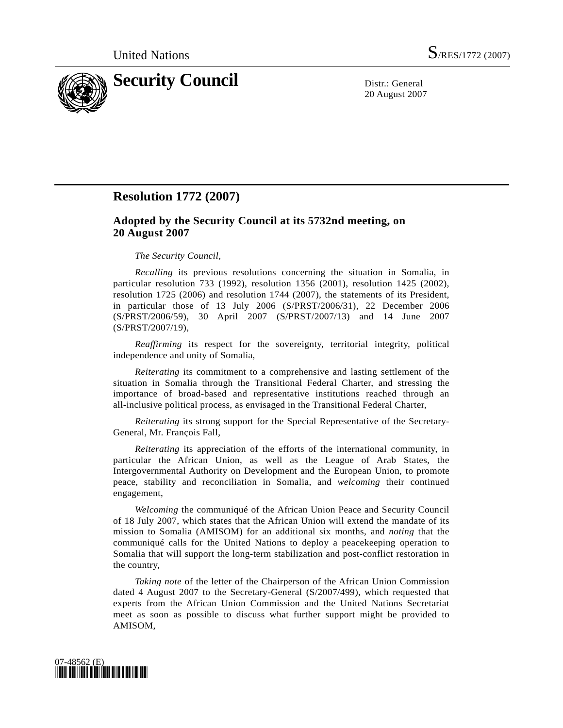

20 August 2007

## **Resolution 1772 (2007)**

## **Adopted by the Security Council at its 5732nd meeting, on 20 August 2007**

## *The Security Council*,

*Recalling* its previous resolutions concerning the situation in Somalia, in particular resolution 733 (1992), resolution 1356 (2001), resolution 1425 (2002), resolution 1725 (2006) and resolution 1744 (2007), the statements of its President, in particular those of 13 July 2006 (S/PRST/2006/31), 22 December 2006 (S/PRST/2006/59), 30 April 2007 (S/PRST/2007/13) and 14 June 2007 (S/PRST/2007/19),

*Reaffirming* its respect for the sovereignty, territorial integrity, political independence and unity of Somalia,

*Reiterating* its commitment to a comprehensive and lasting settlement of the situation in Somalia through the Transitional Federal Charter, and stressing the importance of broad-based and representative institutions reached through an all-inclusive political process, as envisaged in the Transitional Federal Charter,

*Reiterating* its strong support for the Special Representative of the Secretary-General, Mr. François Fall,

*Reiterating* its appreciation of the efforts of the international community, in particular the African Union, as well as the League of Arab States, the Intergovernmental Authority on Development and the European Union, to promote peace, stability and reconciliation in Somalia, and *welcoming* their continued engagement,

*Welcoming* the communiqué of the African Union Peace and Security Council of 18 July 2007, which states that the African Union will extend the mandate of its mission to Somalia (AMISOM) for an additional six months, and *noting* that the communiqué calls for the United Nations to deploy a peacekeeping operation to Somalia that will support the long-term stabilization and post-conflict restoration in the country,

*Taking note* of the letter of the Chairperson of the African Union Commission dated 4 August 2007 to the Secretary-General (S/2007/499), which requested that experts from the African Union Commission and the United Nations Secretariat meet as soon as possible to discuss what further support might be provided to AMISOM,

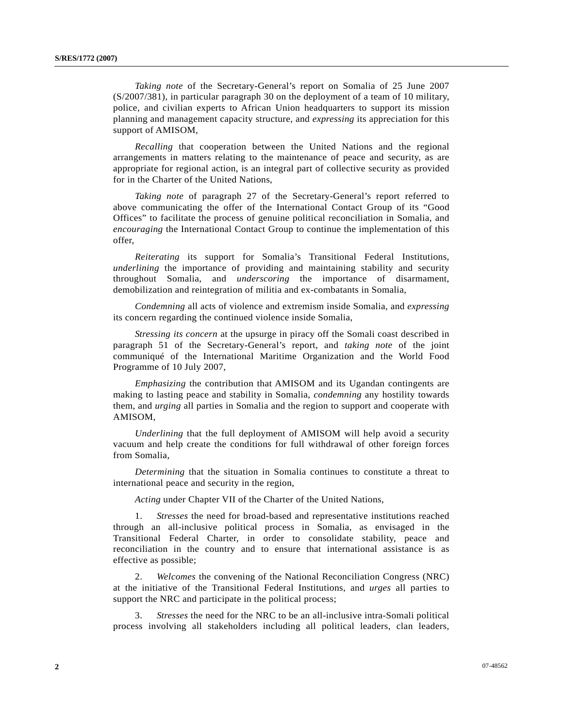*Taking note* of the Secretary-General's report on Somalia of 25 June 2007 (S/2007/381), in particular paragraph 30 on the deployment of a team of 10 military, police, and civilian experts to African Union headquarters to support its mission planning and management capacity structure, and *expressing* its appreciation for this support of AMISOM,

*Recalling* that cooperation between the United Nations and the regional arrangements in matters relating to the maintenance of peace and security, as are appropriate for regional action, is an integral part of collective security as provided for in the Charter of the United Nations,

*Taking note* of paragraph 27 of the Secretary-General's report referred to above communicating the offer of the International Contact Group of its "Good Offices" to facilitate the process of genuine political reconciliation in Somalia, and *encouraging* the International Contact Group to continue the implementation of this offer,

*Reiterating* its support for Somalia's Transitional Federal Institutions, *underlining* the importance of providing and maintaining stability and security throughout Somalia, and *underscoring* the importance of disarmament, demobilization and reintegration of militia and ex-combatants in Somalia,

*Condemning* all acts of violence and extremism inside Somalia, and *expressing* its concern regarding the continued violence inside Somalia,

*Stressing its concern* at the upsurge in piracy off the Somali coast described in paragraph 51 of the Secretary-General's report, and *taking note* of the joint communiqué of the International Maritime Organization and the World Food Programme of 10 July 2007,

*Emphasizing* the contribution that AMISOM and its Ugandan contingents are making to lasting peace and stability in Somalia, *condemning* any hostility towards them, and *urging* all parties in Somalia and the region to support and cooperate with AMISOM,

*Underlining* that the full deployment of AMISOM will help avoid a security vacuum and help create the conditions for full withdrawal of other foreign forces from Somalia,

*Determining* that the situation in Somalia continues to constitute a threat to international peace and security in the region,

*Acting* under Chapter VII of the Charter of the United Nations,

 1. *Stresses* the need for broad-based and representative institutions reached through an all-inclusive political process in Somalia, as envisaged in the Transitional Federal Charter, in order to consolidate stability, peace and reconciliation in the country and to ensure that international assistance is as effective as possible;

 2. *Welcomes* the convening of the National Reconciliation Congress (NRC) at the initiative of the Transitional Federal Institutions, and *urges* all parties to support the NRC and participate in the political process;

 3. *Stresses* the need for the NRC to be an all-inclusive intra-Somali political process involving all stakeholders including all political leaders, clan leaders,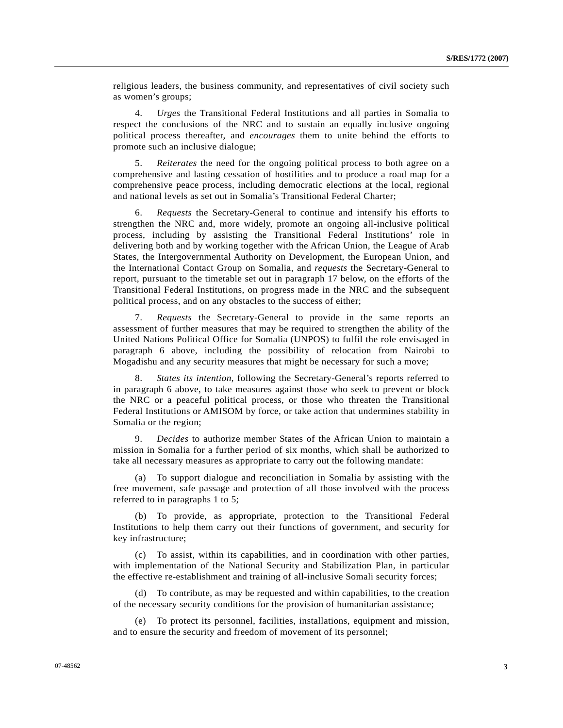religious leaders, the business community, and representatives of civil society such as women's groups;

 4. *Urges* the Transitional Federal Institutions and all parties in Somalia to respect the conclusions of the NRC and to sustain an equally inclusive ongoing political process thereafter, and *encourages* them to unite behind the efforts to promote such an inclusive dialogue;

 5. *Reiterates* the need for the ongoing political process to both agree on a comprehensive and lasting cessation of hostilities and to produce a road map for a comprehensive peace process, including democratic elections at the local, regional and national levels as set out in Somalia's Transitional Federal Charter;

 6. *Requests* the Secretary-General to continue and intensify his efforts to strengthen the NRC and, more widely, promote an ongoing all-inclusive political process, including by assisting the Transitional Federal Institutions' role in delivering both and by working together with the African Union, the League of Arab States, the Intergovernmental Authority on Development, the European Union, and the International Contact Group on Somalia, and *requests* the Secretary-General to report, pursuant to the timetable set out in paragraph 17 below, on the efforts of the Transitional Federal Institutions, on progress made in the NRC and the subsequent political process, and on any obstacles to the success of either;

 7. *Requests* the Secretary-General to provide in the same reports an assessment of further measures that may be required to strengthen the ability of the United Nations Political Office for Somalia (UNPOS) to fulfil the role envisaged in paragraph 6 above, including the possibility of relocation from Nairobi to Mogadishu and any security measures that might be necessary for such a move;

 8. *States its intention*, following the Secretary-General's reports referred to in paragraph 6 above, to take measures against those who seek to prevent or block the NRC or a peaceful political process, or those who threaten the Transitional Federal Institutions or AMISOM by force, or take action that undermines stability in Somalia or the region;

 9. *Decides* to authorize member States of the African Union to maintain a mission in Somalia for a further period of six months, which shall be authorized to take all necessary measures as appropriate to carry out the following mandate:

 (a) To support dialogue and reconciliation in Somalia by assisting with the free movement, safe passage and protection of all those involved with the process referred to in paragraphs 1 to 5;

 (b) To provide, as appropriate, protection to the Transitional Federal Institutions to help them carry out their functions of government, and security for key infrastructure;

 (c) To assist, within its capabilities, and in coordination with other parties, with implementation of the National Security and Stabilization Plan, in particular the effective re-establishment and training of all-inclusive Somali security forces;

 (d) To contribute, as may be requested and within capabilities, to the creation of the necessary security conditions for the provision of humanitarian assistance;

 (e) To protect its personnel, facilities, installations, equipment and mission, and to ensure the security and freedom of movement of its personnel;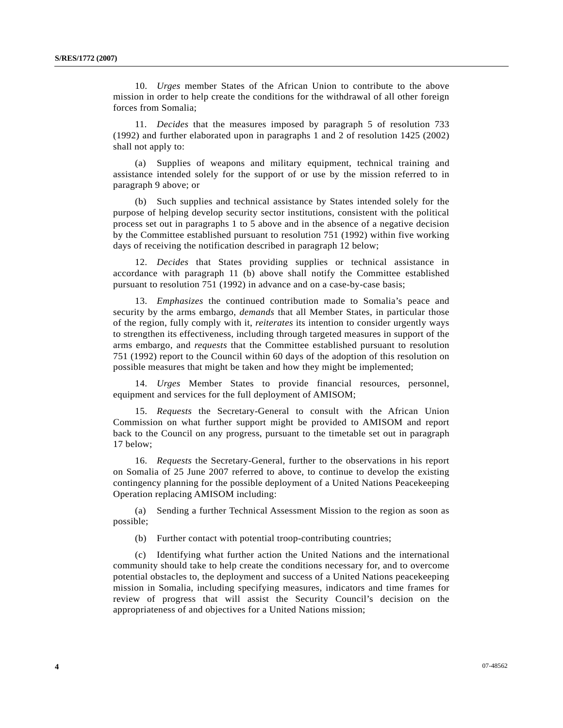10. *Urges* member States of the African Union to contribute to the above mission in order to help create the conditions for the withdrawal of all other foreign forces from Somalia;

 11. *Decides* that the measures imposed by paragraph 5 of resolution 733 (1992) and further elaborated upon in paragraphs 1 and 2 of resolution 1425 (2002) shall not apply to:

 (a) Supplies of weapons and military equipment, technical training and assistance intended solely for the support of or use by the mission referred to in paragraph 9 above; or

 (b) Such supplies and technical assistance by States intended solely for the purpose of helping develop security sector institutions, consistent with the political process set out in paragraphs 1 to 5 above and in the absence of a negative decision by the Committee established pursuant to resolution 751 (1992) within five working days of receiving the notification described in paragraph 12 below;

 12. *Decides* that States providing supplies or technical assistance in accordance with paragraph 11 (b) above shall notify the Committee established pursuant to resolution 751 (1992) in advance and on a case-by-case basis;

 13. *Emphasizes* the continued contribution made to Somalia's peace and security by the arms embargo, *demands* that all Member States, in particular those of the region, fully comply with it, *reiterates* its intention to consider urgently ways to strengthen its effectiveness, including through targeted measures in support of the arms embargo, and *requests* that the Committee established pursuant to resolution 751 (1992) report to the Council within 60 days of the adoption of this resolution on possible measures that might be taken and how they might be implemented;

 14. *Urges* Member States to provide financial resources, personnel, equipment and services for the full deployment of AMISOM;

 15. *Requests* the Secretary-General to consult with the African Union Commission on what further support might be provided to AMISOM and report back to the Council on any progress, pursuant to the timetable set out in paragraph 17 below;

 16. *Requests* the Secretary-General, further to the observations in his report on Somalia of 25 June 2007 referred to above, to continue to develop the existing contingency planning for the possible deployment of a United Nations Peacekeeping Operation replacing AMISOM including:

 (a) Sending a further Technical Assessment Mission to the region as soon as possible;

(b) Further contact with potential troop-contributing countries;

 (c) Identifying what further action the United Nations and the international community should take to help create the conditions necessary for, and to overcome potential obstacles to, the deployment and success of a United Nations peacekeeping mission in Somalia, including specifying measures, indicators and time frames for review of progress that will assist the Security Council's decision on the appropriateness of and objectives for a United Nations mission;